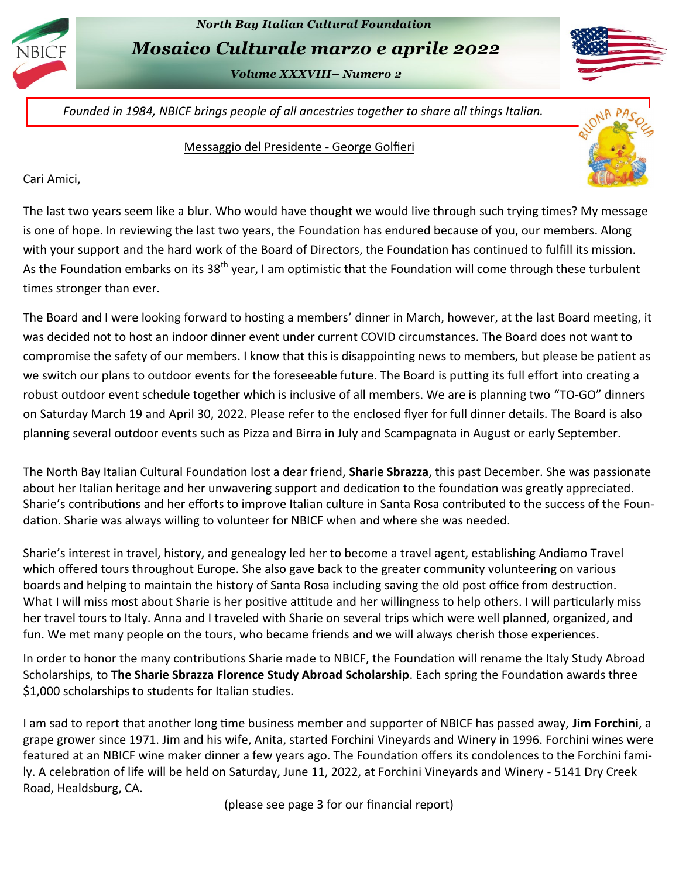

# *North Bay Italian Cultural Foundation Mosaico Culturale marzo e aprile 2022*

*Volume XXXVIII– Numero 2* 

*Founded in 1984, NBICF brings people of all ancestries together to share all things Italian.*

#### Messaggio del Presidente - George Golfieri

Cari Amici,

The last two years seem like a blur. Who would have thought we would live through such trying times? My message is one of hope. In reviewing the last two years, the Foundation has endured because of you, our members. Along with your support and the hard work of the Board of Directors, the Foundation has continued to fulfill its mission. As the Foundation embarks on its 38<sup>th</sup> year, I am optimistic that the Foundation will come through these turbulent times stronger than ever.

The Board and I were looking forward to hosting a members' dinner in March, however, at the last Board meeting, it was decided not to host an indoor dinner event under current COVID circumstances. The Board does not want to compromise the safety of our members. I know that this is disappointing news to members, but please be patient as we switch our plans to outdoor events for the foreseeable future. The Board is putting its full effort into creating a robust outdoor event schedule together which is inclusive of all members. We are is planning two "TO-GO" dinners on Saturday March 19 and April 30, 2022. Please refer to the enclosed flyer for full dinner details. The Board is also planning several outdoor events such as Pizza and Birra in July and Scampagnata in August or early September.

The North Bay Italian Cultural Foundation lost a dear friend, **Sharie Sbrazza**, this past December. She was passionate about her Italian heritage and her unwavering support and dedication to the foundation was greatly appreciated. Sharie's contributions and her efforts to improve Italian culture in Santa Rosa contributed to the success of the Foundation. Sharie was always willing to volunteer for NBICF when and where she was needed.

Sharie's interest in travel, history, and genealogy led her to become a travel agent, establishing Andiamo Travel which offered tours throughout Europe. She also gave back to the greater community volunteering on various boards and helping to maintain the history of Santa Rosa including saving the old post office from destruction. What I will miss most about Sharie is her positive attitude and her willingness to help others. I will particularly miss her travel tours to Italy. Anna and I traveled with Sharie on several trips which were well planned, organized, and fun. We met many people on the tours, who became friends and we will always cherish those experiences.

In order to honor the many contributions Sharie made to NBICF, the Foundation will rename the Italy Study Abroad Scholarships, to **The Sharie Sbrazza Florence Study Abroad Scholarship**. Each spring the Foundation awards three \$1,000 scholarships to students for Italian studies.

I am sad to report that another long time business member and supporter of NBICF has passed away, **Jim Forchini**, a grape grower since 1971. Jim and his wife, Anita, started Forchini Vineyards and Winery in 1996. Forchini wines were featured at an NBICF wine maker dinner a few years ago. The Foundation offers its condolences to the Forchini family. A celebration of life will be held on Saturday, June 11, 2022, at Forchini Vineyards and Winery - 5141 Dry Creek Road, Healdsburg, CA.

(please see page 3 for our financial report)

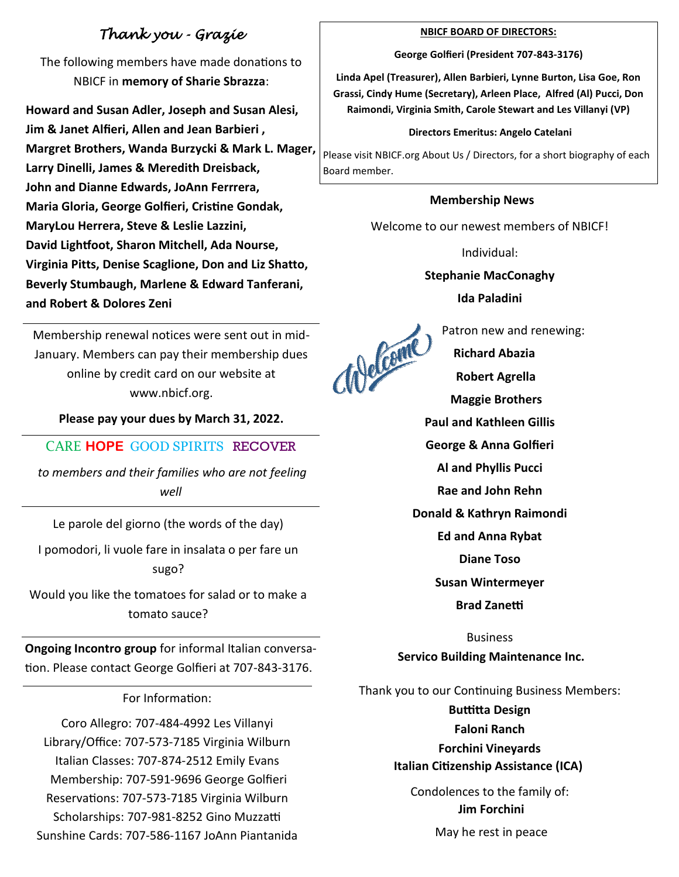## *Thank you - Grazie*

The following members have made donations to NBICF in **memory of Sharie Sbrazza**:

**Howard and Susan Adler, Joseph and Susan Alesi, Jim & Janet Alfieri, Allen and Jean Barbieri , Margret Brothers, Wanda Burzycki & Mark L. Mager, Larry Dinelli, James & Meredith Dreisback, John and Dianne Edwards, JoAnn Ferrrera, Maria Gloria, George Golfieri, Cristine Gondak, MaryLou Herrera, Steve & Leslie Lazzini, David Lightfoot, Sharon Mitchell, Ada Nourse, Virginia Pitts, Denise Scaglione, Don and Liz Shatto, Beverly Stumbaugh, Marlene & Edward Tanferani, and Robert & Dolores Zeni** 

Membership renewal notices were sent out in mid-January. Members can pay their membership dues online by credit card on our website at www.nbicf.org.

**Please pay your dues by March 31, 2022.** 

CARE **HOPE** GOOD SPIRITS RECOVER

*to members and their families who are not feeling well*

Le parole del giorno (the words of the day)

I pomodori, li vuole fare in insalata o per fare un sugo?

Would you like the tomatoes for salad or to make a tomato sauce?

**Ongoing Incontro group** for informal Italian conversation. Please contact George Golfieri at 707-843-3176.

### For Information:

Coro Allegro: 707-484-4992 Les Villanyi Library/Office: 707-573-7185 Virginia Wilburn Italian Classes: 707-874-2512 Emily Evans Membership: 707-591-9696 George Golfieri Reservations: 707-573-7185 Virginia Wilburn Scholarships: 707-981-8252 Gino Muzzatti Sunshine Cards: 707-586-1167 JoAnn Piantanida

#### **NBICF BOARD OF DIRECTORS:**

**George Golfieri (President 707-843-3176)**

**Linda Apel (Treasurer), Allen Barbieri, Lynne Burton, Lisa Goe, Ron Grassi, Cindy Hume (Secretary), Arleen Place, Alfred (Al) Pucci, Don Raimondi, Virginia Smith, Carole Stewart and Les Villanyi (VP)**

#### **Directors Emeritus: Angelo Catelani**

Please visit NBICF.org About Us / Directors, for a short biography of each Board member.

### **Membership News**

Welcome to our newest members of NBICF!

Individual:

**Stephanie MacConaghy Ida Paladini**

Patron new and renewing:<br>
Richard Abazia  **Richard Abazia Robert Agrella Maggie Brothers Al and Phyllis Pucci**

**Rae and John Rehn** 

**Donald & Kathryn Raimondi**

**Susan Wintermeyer**

**Brad Zanetti**

Business

### **Servico Building Maintenance Inc.**

Thank you to our Continuing Business Members:

**Buttitta Design** 

**Faloni Ranch** 

### **Forchini Vineyards [Italian Citizenship Assistance \(ICA\)](https://italiancitizenshipassistance.com/)**

Condolences to the family of: **Jim Forchini** May he rest in peace



**Paul and Kathleen Gillis**

**George & Anna Golfieri**

**Ed and Anna Rybat**

**Diane Toso**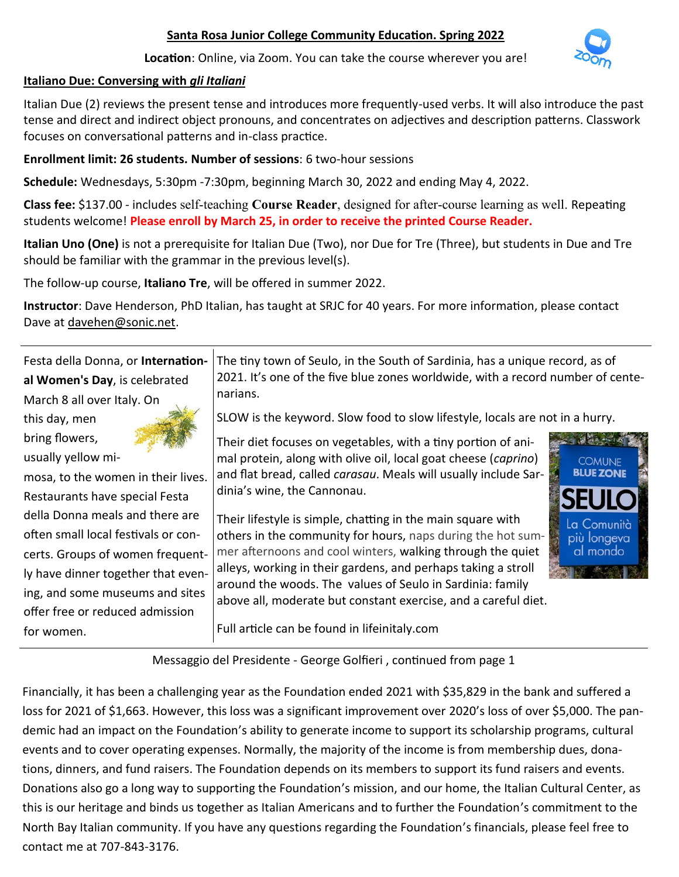### **Santa Rosa Junior College Community Education. Spring 2022**

**Location**: Online, via Zoom. You can take the course wherever you are!

### **Italiano Due: Conversing with** *gli Italiani*

Italian Due (2) reviews the present tense and introduces more frequently-used verbs. It will also introduce the past tense and direct and indirect object pronouns, and concentrates on adjectives and description patterns. Classwork focuses on conversational patterns and in-class practice.

**Enrollment limit: 26 students. Number of sessions**: 6 two-hour sessions

**Schedule:** Wednesdays, 5:30pm -7:30pm, beginning March 30, 2022 and ending May 4, 2022.

**Class fee:** \$137.00 - includes self-teaching **Course Reader**, designed for after-course learning as well. Repeating students welcome! **Please enroll by March 25, in order to receive the printed Course Reader.** 

**Italian Uno (One)** is not a prerequisite for Italian Due (Two), nor Due for Tre (Three), but students in Due and Tre should be familiar with the grammar in the previous level(s).

The follow-up course, **Italiano Tre**, will be offered in summer 2022.

**Instructor**: Dave Henderson, PhD Italian, has taught at SRJC for 40 years. For more information, please contact Dave at [davehen@sonic.net.](mailto:davehen@sonic.net)

Festa della Donna, or **International Women's Day**, is celebrated March 8 all over Italy. On The tiny town of Seulo, in the South of Sardinia, has a unique record, as of 2021. It's one of the five blue zones worldwide, with a record number of centenarians.

SLOW is the keyword. Slow food to slow lifestyle, locals are not in a hurry.

Their diet focuses on vegetables, with a tiny portion of animal protein, along with olive oil, local goat cheese (*caprino*) and flat bread, called *carasau*. Meals will usually include Sardinia's wine, the Cannonau.

Their lifestyle is simple, chatting in the main square with others in the community for hours, naps during the hot summer afternoons and cool winters, walking through the quiet alleys, working in their gardens, and perhaps taking a stroll around the woods. The values of Seulo in Sardinia: family above all, moderate but constant exercise, and a careful diet.

Full article can be found in lifeinitaly.com

Messaggio del Presidente - George Golfieri , continued from page 1

Financially, it has been a challenging year as the Foundation ended 2021 with \$35,829 in the bank and suffered a loss for 2021 of \$1,663. However, this loss was a significant improvement over 2020's loss of over \$5,000. The pandemic had an impact on the Foundation's ability to generate income to support its scholarship programs, cultural events and to cover operating expenses. Normally, the majority of the income is from membership dues, donations, dinners, and fund raisers. The Foundation depends on its members to support its fund raisers and events. Donations also go a long way to supporting the Foundation's mission, and our home, the Italian Cultural Center, as this is our heritage and binds us together as Italian Americans and to further the Foundation's commitment to the North Bay Italian community. If you have any questions regarding the Foundation's financials, please feel free to contact me at 707-843-3176.







mosa, to the women in their lives. Restaurants have special Festa della Donna meals and there are often small local festivals or concerts. Groups of women frequently have dinner together that evening, and some museums and sites offer free or reduced admission

this day, men bring flowers, usually yellow mi-

for women.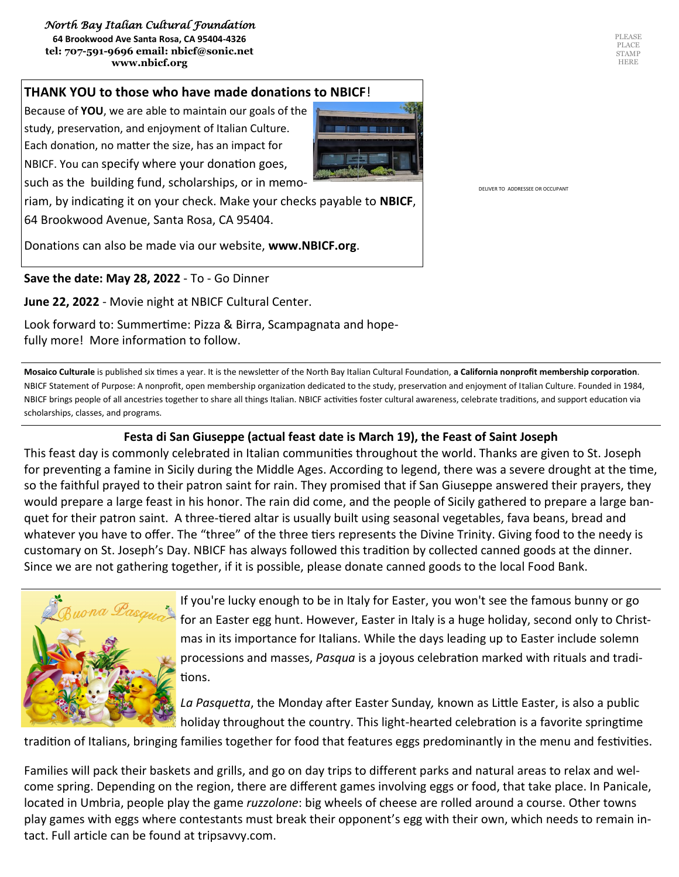#### *North Bay Italian Cultural Foundation*

**64 Brookwood Ave Santa Rosa, CA 95404-4326 tel: 707-591-9696 email: nbicf@sonic.net www.nbicf.org** 

#### **THANK YOU to those who have made donations to NBICF**!

Because of **YOU**, we are able to maintain our goals of the study, preservation, and enjoyment of Italian Culture. Each donation, no matter the size, has an impact for NBICF. You can specify where your donation goes, such as the building fund, scholarships, or in memo-

riam, by indicating it on your check. Make your checks payable to **NBICF**, 64 Brookwood Avenue, Santa Rosa, CA 95404.

Donations can also be made via our website, **www.NBICF.org**.

**Save the date: May 28, 2022** - To - Go Dinner

**June 22, 2022** - Movie night at NBICF Cultural Center.

Look forward to: Summertime: Pizza & Birra, Scampagnata and hopefully more! More information to follow.

**Mosaico Culturale** is published six times a year. It is the newsletter of the North Bay Italian Cultural Foundation, **a California nonprofit membership corporation**. NBICF Statement of Purpose: A nonprofit, open membership organization dedicated to the study, preservation and enjoyment of Italian Culture. Founded in 1984, NBICF brings people of all ancestries together to share all things Italian. NBICF activities foster cultural awareness, celebrate traditions, and support education via scholarships, classes, and programs.

#### **Festa di San Giuseppe (actual feast date is March 19), the Feast of Saint Joseph**

This feast day is commonly celebrated in Italian communities throughout the world. Thanks are given to St. Joseph for preventing a famine in Sicily during the Middle Ages. According to legend, there was a severe drought at the time, so the faithful prayed to their patron saint for rain. They promised that if San Giuseppe answered their prayers, they would prepare a large feast in his honor. The rain did come, and the people of Sicily gathered to prepare a large banquet for their patron saint. A three-tiered altar is usually built using seasonal vegetables, fava beans, bread and whatever you have to offer. The "three" of the three tiers represents the Divine Trinity. Giving food to the needy is customary on St. Joseph's Day. NBICF has always followed this tradition by collected canned goods at the dinner. Since we are not gathering together, if it is possible, please donate canned goods to the local Food Bank.



If you're lucky enough to be in Italy for Easter, you won't see the famous bunny or go for an Easter egg hunt. However, Easter in Italy is a huge holiday, second only to Christmas in its importance for Italians. While the days leading up to Easter include solemn processions and masses, *Pasqua* is a joyous celebration marked with rituals and traditions.

*La Pasquetta*, the Monday after Easter Sunday*,* known as Little Easter, is also a public holiday throughout the country. This light-hearted celebration is a favorite springtime

tradition of Italians, bringing families together for food that features eggs predominantly in the menu and festivities.

Families will pack their baskets and grills, and go on day trips to different parks and natural areas to relax and welcome spring. Depending on the region, there are different games involving eggs or food, that take place. In Panicale, located in Umbria, people play the game *ruzzolone*: big wheels of cheese are rolled around a course. Other towns play games with eggs where contestants must break their opponent's egg with their own, which needs to remain intact. Full article can be found at tripsavvy.com.

DELIVER TO ADDRESSEE OR OCCUPANT